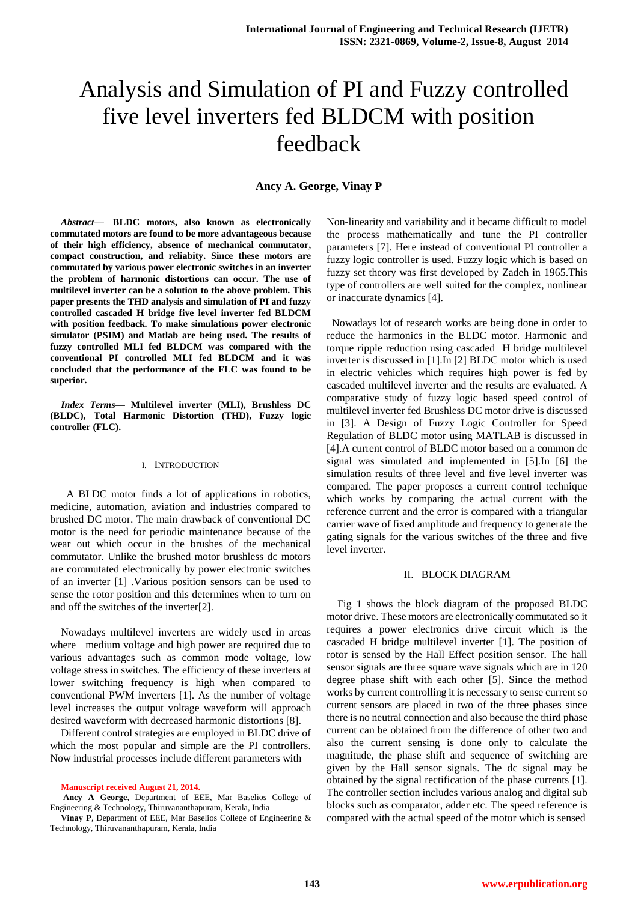# Analysis and Simulation of PI and Fuzzy controlled five level inverters fed BLDCM with position feedback

**Ancy A. George, Vinay P**

*Abstract***— BLDC motors, also known as electronically commutated motors are found to be more advantageous because of their high efficiency, absence of mechanical commutator, compact construction, and reliabity. Since these motors are commutated by various power electronic switches in an inverter the problem of harmonic distortions can occur. The use of multilevel inverter can be a solution to the above problem. This paper presents the THD analysis and simulation of PI and fuzzy controlled cascaded H bridge five level inverter fed BLDCM with position feedback. To make simulations power electronic simulator (PSIM) and Matlab are being used. The results of fuzzy controlled MLI fed BLDCM was compared with the conventional PI controlled MLI fed BLDCM and it was concluded that the performance of the FLC was found to be superior.**

*Index Terms***— Multilevel inverter (MLI), Brushless DC (BLDC), Total Harmonic Distortion (THD), Fuzzy logic controller (FLC).**

#### I. INTRODUCTION

 A BLDC motor finds a lot of applications in robotics, medicine, automation, aviation and industries compared to brushed DC motor. The main drawback of conventional DC motor is the need for periodic maintenance because of the wear out which occur in the brushes of the mechanical commutator. Unlike the brushed motor brushless dc motors are commutated electronically by power electronic switches of an inverter [1] .Various position sensors can be used to sense the rotor position and this determines when to turn on and off the switches of the inverter[2].

Nowadays multilevel inverters are widely used in areas where medium voltage and high power are required due to various advantages such as common mode voltage, low voltage stress in switches. The efficiency of these inverters at lower switching frequency is high when compared to conventional PWM inverters [1]. As the number of voltage level increases the output voltage waveform will approach desired waveform with decreased harmonic distortions [8].

Different control strategies are employed in BLDC drive of which the most popular and simple are the PI controllers. Now industrial processes include different parameters with

**Manuscript received August 21, 2014.**

**Ancy A George**, Department of EEE, Mar Baselios College of Engineering & Technology, Thiruvananthapuram, Kerala, India

**Vinay P**, Department of EEE, Mar Baselios College of Engineering & Technology, Thiruvananthapuram, Kerala, India

Non-linearity and variability and it became difficult to model the process mathematically and tune the PI controller parameters [7]. Here instead of conventional PI controller a fuzzy logic controller is used. Fuzzy logic which is based on fuzzy set theory was first developed by Zadeh in 1965.This type of controllers are well suited for the complex, nonlinear or inaccurate dynamics [4].

 Nowadays lot of research works are being done in order to reduce the harmonics in the BLDC motor. Harmonic and torque ripple reduction using cascaded H bridge multilevel inverter is discussed in [1].In [2] BLDC motor which is used in electric vehicles which requires high power is fed by cascaded multilevel inverter and the results are evaluated. A comparative study of fuzzy logic based speed control of multilevel inverter fed Brushless DC motor drive is discussed in [3]. A Design of Fuzzy Logic Controller for Speed Regulation of BLDC motor using MATLAB is discussed in [4].A current control of BLDC motor based on a common dc signal was simulated and implemented in [5].In [6] the simulation results of three level and five level inverter was compared. The paper proposes a current control technique which works by comparing the actual current with the reference current and the error is compared with a triangular carrier wave of fixed amplitude and frequency to generate the gating signals for the various switches of the three and five level inverter.

## II. BLOCK DIAGRAM

Fig 1 shows the block diagram of the proposed BLDC motor drive. These motors are electronically commutated so it requires a power electronics drive circuit which is the cascaded H bridge multilevel inverter [1]. The position of rotor is sensed by the Hall Effect position sensor. The hall sensor signals are three square wave signals which are in 120 degree phase shift with each other [5]. Since the method works by current controlling it is necessary to sense current so current sensors are placed in two of the three phases since there is no neutral connection and also because the third phase current can be obtained from the difference of other two and also the current sensing is done only to calculate the magnitude, the phase shift and sequence of switching are given by the Hall sensor signals. The dc signal may be obtained by the signal rectification of the phase currents [1]. The controller section includes various analog and digital sub blocks such as comparator, adder etc. The speed reference is compared with the actual speed of the motor which is sensed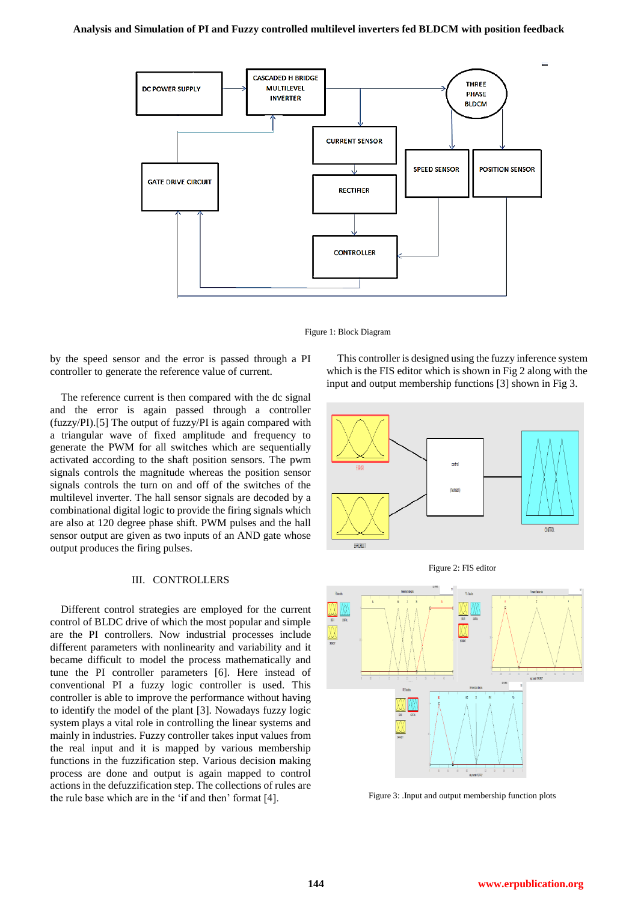

Figure 1: Block Diagram

by the speed sensor and the error is passed through a PI controller to generate the reference value of current.

The reference current is then compared with the dc signal and the error is again passed through a controller (fuzzy/PI).[5] The output of fuzzy/PI is again compared with a triangular wave of fixed amplitude and frequency to generate the PWM for all switches which are sequentially activated according to the shaft position sensors. The pwm signals controls the magnitude whereas the position sensor signals controls the turn on and off of the switches of the multilevel inverter. The hall sensor signals are decoded by a combinational digital logic to provide the firing signals which are also at 120 degree phase shift. PWM pulses and the hall sensor output are given as two inputs of an AND gate whose output produces the firing pulses.

## III. CONTROLLERS

Different control strategies are employed for the current control of BLDC drive of which the most popular and simple are the PI controllers. Now industrial processes include different parameters with nonlinearity and variability and it became difficult to model the process mathematically and tune the PI controller parameters [6]. Here instead of conventional PI a fuzzy logic controller is used. This controller is able to improve the performance without having to identify the model of the plant [3]. Nowadays fuzzy logic system plays a vital role in controlling the linear systems and mainly in industries. Fuzzy controller takes input values from the real input and it is mapped by various membership functions in the fuzzification step. Various decision making process are done and output is again mapped to control actions in the defuzzification step. The collections of rules are the rule base which are in the "if and then" format [4].

This controller is designed using the fuzzy inference system which is the FIS editor which is shown in Fig 2 along with the input and output membership functions [3] shown in Fig 3.







Figure 3: .Input and output membership function plots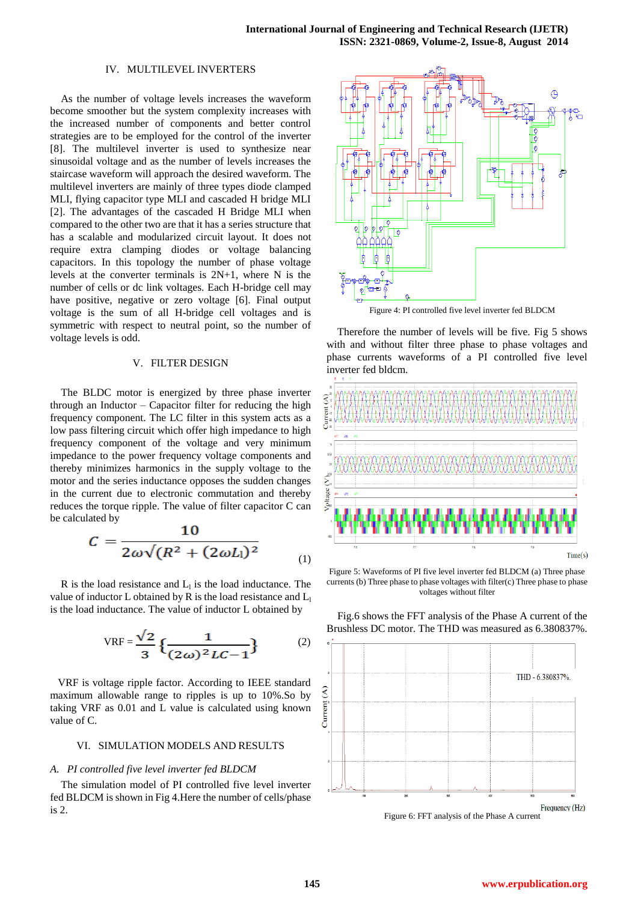#### IV. MULTILEVEL INVERTERS

As the number of voltage levels increases the waveform become smoother but the system complexity increases with the increased number of components and better control strategies are to be employed for the control of the inverter [8]. The multilevel inverter is used to synthesize near sinusoidal voltage and as the number of levels increases the staircase waveform will approach the desired waveform. The multilevel inverters are mainly of three types diode clamped MLI, flying capacitor type MLI and cascaded H bridge MLI [2]. The advantages of the cascaded H Bridge MLI when compared to the other two are that it has a series structure that has a scalable and modularized circuit layout. It does not require extra clamping diodes or voltage balancing capacitors. In this topology the number of phase voltage levels at the converter terminals is 2N+1, where N is the number of cells or dc link voltages. Each H-bridge cell may have positive, negative or zero voltage [6]. Final output voltage is the sum of all H-bridge cell voltages and is symmetric with respect to neutral point, so the number of voltage levels is odd.

#### V. FILTER DESIGN

The BLDC motor is energized by three phase inverter through an Inductor – Capacitor filter for reducing the high frequency component. The LC filter in this system acts as a low pass filtering circuit which offer high impedance to high frequency component of the voltage and very minimum impedance to the power frequency voltage components and thereby minimizes harmonics in the supply voltage to the motor and the series inductance opposes the sudden changes in the current due to electronic commutation and thereby reduces the torque ripple. The value of filter capacitor C can be calculated by

$$
C = \frac{10}{2\omega\sqrt{(R^2 + (2\omega L_l)^2}})
$$
 (1)

R is the load resistance and  $L_1$  is the load inductance. The value of inductor L obtained by R is the load resistance and  $L_1$ is the load inductance. The value of inductor L obtained by

$$
VRF = \frac{\sqrt{2}}{3} \left\{ \frac{1}{(2\omega)^2 LC - 1} \right\}
$$
 (2)

VRF is voltage ripple factor. According to IEEE standard maximum allowable range to ripples is up to 10%.So by taking VRF as 0.01 and L value is calculated using known value of C.

## VI. SIMULATION MODELS AND RESULTS

## *A. PI controlled five level inverter fed BLDCM*

The simulation model of PI controlled five level inverter fed BLDCM is shown in Fig 4.Here the number of cells/phase is 2.



Figure 4: PI controlled five level inverter fed BLDCM

Therefore the number of levels will be five. Fig 5 shows with and without filter three phase to phase voltages and phase currents waveforms of a PI controlled five level inverter fed bldcm.



Figure 5: Waveforms of PI five level inverter fed BLDCM (a) Three phase currents (b) Three phase to phase voltages with filter(c) Three phase to phase voltages without filter



Fig.6 shows the FFT analysis of the Phase A current of the Brushless DC motor. The THD was measured as 6.380837%.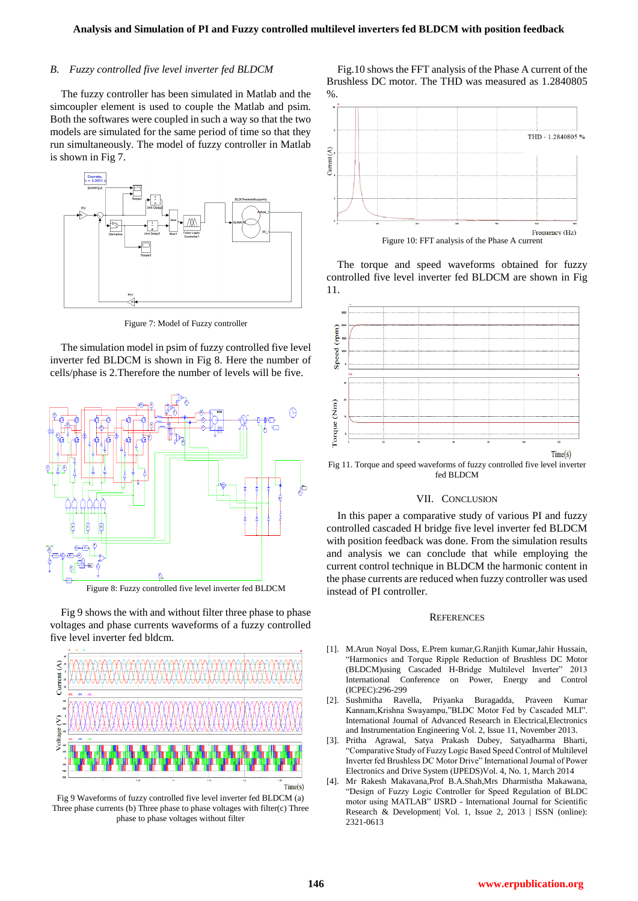#### *B. Fuzzy controlled five level inverter fed BLDCM*

The fuzzy controller has been simulated in Matlab and the simcoupler element is used to couple the Matlab and psim. Both the softwares were coupled in such a way so that the two models are simulated for the same period of time so that they run simultaneously. The model of fuzzy controller in Matlab is shown in Fig 7.



Figure 7: Model of Fuzzy controller

The simulation model in psim of fuzzy controlled five level inverter fed BLDCM is shown in Fig 8. Here the number of cells/phase is 2.Therefore the number of levels will be five.



Figure 8: Fuzzy controlled five level inverter fed BLDCM

Fig 9 shows the with and without filter three phase to phase voltages and phase currents waveforms of a fuzzy controlled five level inverter fed bldcm.



Fig 9 Waveforms of fuzzy controlled five level inverter fed BLDCM (a) Three phase currents (b) Three phase to phase voltages with filter(c) Three phase to phase voltages without filter

Fig.10 shows the FFT analysis of the Phase A current of the Brushless DC motor. The THD was measured as 1.2840805 %.



The torque and speed waveforms obtained for fuzzy controlled five level inverter fed BLDCM are shown in Fig 11.



Fig 11. Torque and speed waveforms of fuzzy controlled five level inverter fed BLDCM

### VII. CONCLUSION

In this paper a comparative study of various PI and fuzzy controlled cascaded H bridge five level inverter fed BLDCM with position feedback was done. From the simulation results and analysis we can conclude that while employing the current control technique in BLDCM the harmonic content in the phase currents are reduced when fuzzy controller was used instead of PI controller.

#### **REFERENCES**

- [1]. M.Arun Noyal Doss, E.Prem kumar,G.Ranjith Kumar,Jahir Hussain, "Harmonics and Torque Ripple Reduction of Brushless DC Motor (BLDCM)using Cascaded H-Bridge Multilevel Inverter" 2013 International Conference on Power, Energy and Control (ICPEC):296-299
- [2]. Sushmitha Ravella, Priyanka Buragadda, Praveen Kumar Kannam,Krishna Swayampu,"BLDC Motor Fed by Cascaded MLI". International Journal of Advanced Research in Electrical,Electronics and Instrumentation Engineering Vol. 2, Issue 11, November 2013.
- Pritha Agrawal, Satya Prakash Dubey, Satyadharma Bharti, "Comparative Study of Fuzzy Logic Based Speed Control of Multilevel Inverter fed Brushless DC Motor Drive" International Journal of Power Electronics and Drive System (IJPEDS)Vol. 4, No. 1, March 2014
- [4]. Mr Rakesh Makavana,Prof B.A.Shah,Mrs Dharmistha Makawana, "Design of Fuzzy Logic Controller for Speed Regulation of BLDC motor using MATLAB" IJSRD - International Journal for Scientific Research & Development| Vol. 1, Issue 2, 2013 | ISSN (online): 2321-0613